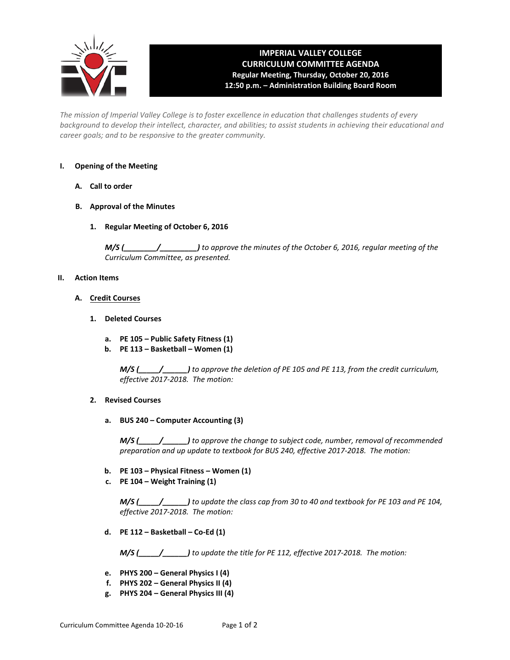

# **IMPERIAL VALLEY COLLEGE CURRICULUM COMMITTEE AGENDA Regular Meeting, Thursday, October 20, 2016 12:50 p.m. – Administration Building Board Room**

*The mission of Imperial Valley College is to foster excellence in education that challenges students of every background to develop their intellect, character, and abilities; to assist students in achieving their educational and career goals; and to be responsive to the greater community.*

# **I. Opening of the Meeting**

- **A. Call to order**
- **B. Approval of the Minutes**
	- **1. Regular Meeting of October 6, 2016**

*M/S (\_\_\_\_\_\_\_\_/\_\_\_\_\_\_\_\_\_) to approve the minutes of the October 6, 2016, regular meeting of the Curriculum Committee, as presented.*

#### **II. Action Items**

- **A. Credit Courses**
	- **1. Deleted Courses**
		- **a. PE 105 Public Safety Fitness (1)**
		- **b. PE 113 Basketball Women (1)**

*M/S (\_\_\_\_\_/\_\_\_\_\_\_) to approve the deletion of PE 105 and PE 113, from the credit curriculum, effective 2017-2018. The motion:*

- **2. Revised Courses**
	- **a. BUS 240 Computer Accounting (3)**

*M/S (\_\_\_\_\_/\_\_\_\_\_\_) to approve the change to subject code, number, removal of recommended preparation and up update to textbook for BUS 240, effective 2017-2018. The motion:*

- **b. PE 103 Physical Fitness Women (1)**
- **c. PE 104 Weight Training (1)**

*M/S (\_\_\_\_\_/\_\_\_\_\_\_) to update the class cap from 30 to 40 and textbook for PE 103 and PE 104, effective 2017-2018. The motion:*

**d. PE 112 – Basketball – Co-Ed (1)**

*M/S (\_\_\_\_\_/\_\_\_\_\_\_) to update the title for PE 112, effective 2017-2018. The motion:*

- **e. PHYS 200 General Physics I (4)**
- **f. PHYS 202 General Physics II (4)**
- **g. PHYS 204 General Physics III (4)**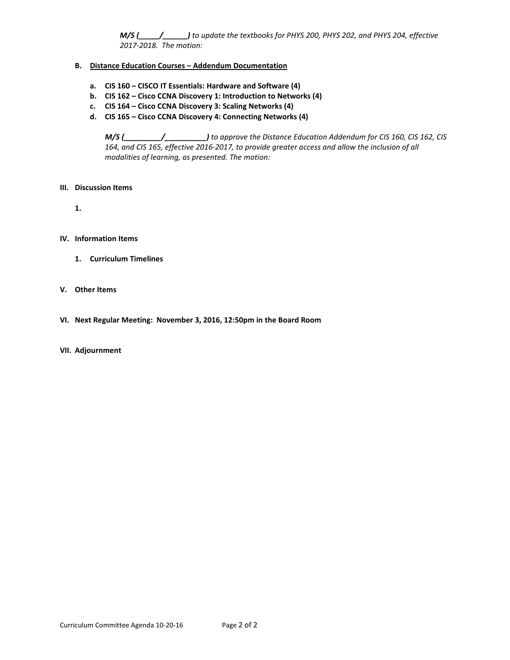*M/S (\_\_\_\_\_/\_\_\_\_\_\_) to update the textbooks for PHYS 200, PHYS 202, and PHYS 204, effective 2017-2018. The motion:*

#### **B. Distance Education Courses – Addendum Documentation**

- **a. CIS 160 CISCO IT Essentials: Hardware and Software (4)**
- **b. CIS 162 Cisco CCNA Discovery 1: Introduction to Networks (4)**
- **c. CIS 164 Cisco CCNA Discovery 3: Scaling Networks (4)**
- **d. CIS 165 Cisco CCNA Discovery 4: Connecting Networks (4)**

*M/S (\_\_\_\_\_\_\_\_\_/\_\_\_\_\_\_\_\_\_\_) to approve the Distance Education Addendum for CIS 160, CIS 162, CIS 164, and CIS 165, effective 2016-2017, to provide greater access and allow the inclusion of all modalities of learning, as presented. The motion:*

# **III. Discussion Items**

**1.**

# **IV. Information Items**

**1. Curriculum Timelines**

# **V. Other Items**

**VI. Next Regular Meeting: November 3, 2016, 12:50pm in the Board Room**

#### **VII. Adjournment**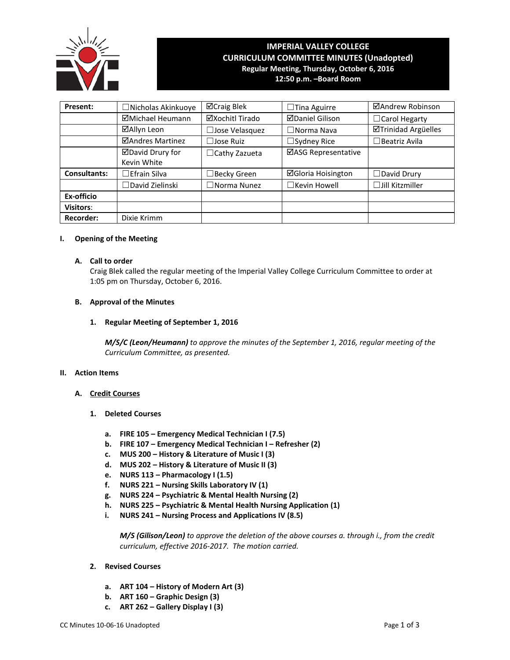

# **IMPERIAL VALLEY COLLEGE CURRICULUM COMMITTEE MINUTES (Unadopted) Regular Meeting, Thursday, October 6, 2016 12:50 p.m. –Board Room**

**Present:** │ □Nicholas Akinkuoye │ ⊠Craig Blek │ □Tina Aguirre │ ⊠Andrew Robinson **ØMichael Heumann** │ ØXochitl Tirado │ ØDaniel Gilison │ □Carol Hegarty **☑Allyn Leon │ □Jose Velasquez │ □Norma Nava │ ☑Trinidad Argüelles ⊡Andres Martinez** │ □Jose Ruiz │ □Sydney Rice │ □Beatriz Avila David Drury for Kevin White □Cathy Zazueta | ØASG Representative **Consultants:** │ □Efrain Silva │ □Becky Green │ ⊠Gloria Hoisington │ □David Drury ☐David Zielinski ☐Norma Nunez ☐Kevin Howell ☐Jill Kitzmiller **Ex-officio Visitors**: **Recorder:** | Dixie Krimm

# **I. Opening of the Meeting**

# **A. Call to order**

Craig Blek called the regular meeting of the Imperial Valley College Curriculum Committee to order at 1:05 pm on Thursday, October 6, 2016.

# **B. Approval of the Minutes**

**1. Regular Meeting of September 1, 2016**

*M/S/C (Leon/Heumann) to approve the minutes of the September 1, 2016, regular meeting of the Curriculum Committee, as presented.* 

#### **II. Action Items**

- **A. Credit Courses**
	- **1. Deleted Courses**
		- **a. FIRE 105 – Emergency Medical Technician I (7.5)**
		- **b. FIRE 107 – Emergency Medical Technician I – Refresher (2)**
		- **c. MUS 200 – History & Literature of Music I (3)**
		- **d. MUS 202 – History & Literature of Music II (3)**
		- **e. NURS 113 – Pharmacology I (1.5)**
		- **f. NURS 221 – Nursing Skills Laboratory IV (1)**
		- **g. NURS 224 – Psychiatric & Mental Health Nursing (2)**
		- **h. NURS 225 – Psychiatric & Mental Health Nursing Application (1)**
		- **i. NURS 241 – Nursing Process and Applications IV (8.5)**

*M/S (Gilison/Leon) to approve the deletion of the above courses a. through i., from the credit curriculum, effective 2016-2017. The motion carried.*

- **2. Revised Courses**
	- **a. ART 104 – History of Modern Art (3)**
	- **b. ART 160 – Graphic Design (3)**
	- **c. ART 262 – Gallery Display I (3)**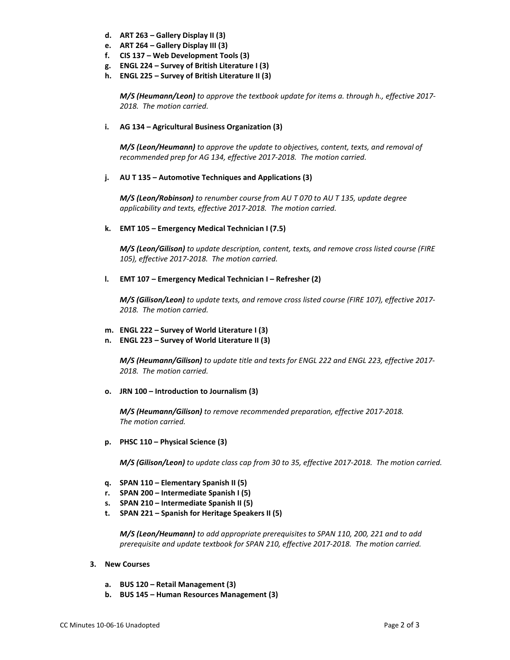- **d. ART 263 – Gallery Display II (3)**
- **e. ART 264 – Gallery Display III (3)**
- **f. CIS 137 – Web Development Tools (3)**
- **g. ENGL 224 – Survey of British Literature I (3)**
- **h. ENGL 225 – Survey of British Literature II (3)**

*M/S (Heumann/Leon) to approve the textbook update for items a. through h., effective 2017- 2018. The motion carried.*

# **i. AG 134 – Agricultural Business Organization (3)**

*M/S (Leon/Heumann) to approve the update to objectives, content, texts, and removal of recommended prep for AG 134, effective 2017-2018. The motion carried.*

# **j. AU T 135 – Automotive Techniques and Applications (3)**

*M/S (Leon/Robinson) to renumber course from AU T 070 to AU T 135, update degree applicability and texts, effective 2017-2018. The motion carried.*

# **k. EMT 105 – Emergency Medical Technician I (7.5)**

*M/S (Leon/Gilison) to update description, content, texts, and remove cross listed course (FIRE 105), effective 2017-2018. The motion carried.*

#### **l. EMT 107 – Emergency Medical Technician I – Refresher (2)**

*M/S (Gilison/Leon) to update texts, and remove cross listed course (FIRE 107), effective 2017- 2018. The motion carried.*

# **m. ENGL 222 – Survey of World Literature I (3)**

**n. ENGL 223 – Survey of World Literature II (3)**

*M/S (Heumann/Gilison) to update title and texts for ENGL 222 and ENGL 223, effective 2017- 2018. The motion carried.*

**o. JRN 100 – Introduction to Journalism (3)**

*M/S (Heumann/Gilison) to remove recommended preparation, effective 2017-2018. The motion carried.*

**p. PHSC 110 – Physical Science (3)**

*M/S (Gilison/Leon) to update class cap from 30 to 35, effective 2017-2018. The motion carried.*

- **q. SPAN 110 – Elementary Spanish II (5)**
- **r. SPAN 200 – Intermediate Spanish I (5)**
- **s. SPAN 210 – Intermediate Spanish II (5)**
- **t. SPAN 221 – Spanish for Heritage Speakers II (5)**

*M/S (Leon/Heumann) to add appropriate prerequisites to SPAN 110, 200, 221 and to add prerequisite and update textbook for SPAN 210, effective 2017-2018. The motion carried.*

- **3. New Courses** 
	- **a. BUS 120 – Retail Management (3)**
	- **b. BUS 145 – Human Resources Management (3)**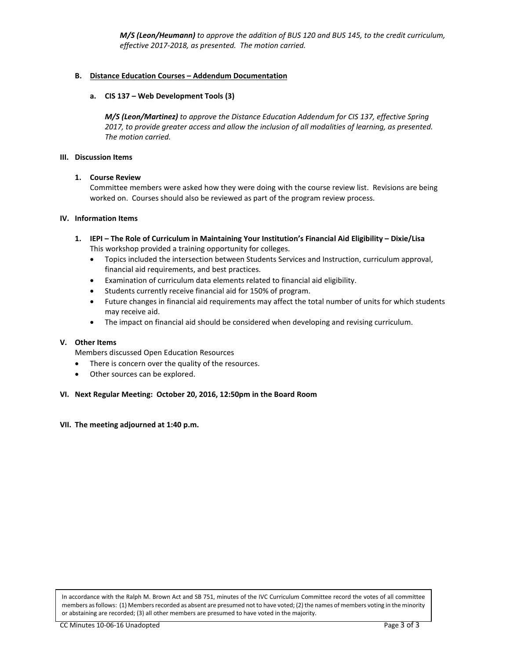*M/S (Leon/Heumann) to approve the addition of BUS 120 and BUS 145, to the credit curriculum, effective 2017-2018, as presented. The motion carried.*

# **B. Distance Education Courses – Addendum Documentation**

#### **a. CIS 137 – Web Development Tools (3)**

*M/S (Leon/Martinez) to approve the Distance Education Addendum for CIS 137, effective Spring 2017, to provide greater access and allow the inclusion of all modalities of learning, as presented. The motion carried.*

#### **III. Discussion Items**

#### **1. Course Review**

Committee members were asked how they were doing with the course review list. Revisions are being worked on. Courses should also be reviewed as part of the program review process.

#### **IV. Information Items**

- **1. IEPI – The Role of Curriculum in Maintaining Your Institution's Financial Aid Eligibility – Dixie/Lisa** This workshop provided a training opportunity for colleges.
	- Topics included the intersection between Students Services and Instruction, curriculum approval, financial aid requirements, and best practices.
	- Examination of curriculum data elements related to financial aid eligibility.
	- Students currently receive financial aid for 150% of program.
	- Future changes in financial aid requirements may affect the total number of units for which students may receive aid.
	- The impact on financial aid should be considered when developing and revising curriculum.

# **V. Other Items**

Members discussed Open Education Resources

- There is concern over the quality of the resources.
- Other sources can be explored.

#### **VI. Next Regular Meeting: October 20, 2016, 12:50pm in the Board Room**

**VII. The meeting adjourned at 1:40 p.m.** 

In accordance with the Ralph M. Brown Act and SB 751, minutes of the IVC Curriculum Committee record the votes of all committee members as follows: (1) Members recorded as absent are presumed not to have voted; (2) the names of members voting in the minority or abstaining are recorded; (3) all other members are presumed to have voted in the majority.